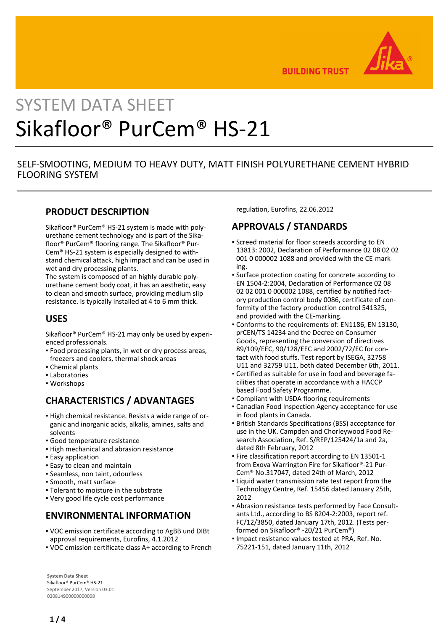

**BUILDING TRUST** 

# SYSTEM DATA SHEET Sikafloor® PurCem® HS-21

### SELF-SMOOTING, MEDIUM TO HEAVY DUTY, MATT FINISH POLYURETHANE CEMENT HYBRID FLOORING SYSTEM

#### **PRODUCT DESCRIPTION**

Sikafloor® PurCem® HS-21 system is made with polyurethane cement technology and is part of the Sikafloor® PurCem® flooring range. The Sikafloor® Pur-Cem® HS-21 system is especially designed to withstand chemical attack, high impact and can be used in wet and dry processing plants.

The system is composed of an highly durable polyurethane cement body coat, it has an aesthetic, easy to clean and smooth surface, providing medium slip resistance. Is typically installed at 4 to 6 mm thick.

#### **USES**

Sikafloor® PurCem® HS-21 may only be used by experienced professionals.

- Food processing plants, in wet or dry process areas, freezers and coolers, thermal shock areas
- Chemical plants
- Laboratories
- Workshops

# **CHARACTERISTICS / ADVANTAGES**

- High chemical resistance. Resists a wide range of or-▪ ganic and inorganic acids, alkalis, amines, salts and solvents
- Good temperature resistance
- **.** High mechanical and abrasion resistance
- **Easy application**
- **Easy to clean and maintain**
- Seamless, non taint, odourless
- Smooth, matt surface
- Tolerant to moisture in the substrate
- Very good life cycle cost performance

#### **ENVIRONMENTAL INFORMATION**

- VOC emission certificate according to AgBB und DIBt approval requirements, Eurofins, 4.1.2012
- VOC emission certificate class A+ according to French

**System Data Sheet** Sikafloor® PurCem® HS-21 September 2017, Version 03.01 020814900000000008

regulation, Eurofins, 22.06.2012

## **APPROVALS / STANDARDS**

- **Screed material for floor screeds according to EN** 13813: 2002, Declaration of Performance 02 08 02 02 001 0 000002 1088 and provided with the CE-marking.
- **Surface protection coating for concrete according to** EN 1504-2:2004, Declaration of Performance 02 08 02 02 001 0 000002 1088, certified by notified factory production control body 0086, certificate of conformity of the factory production control 541325, and provided with the CE-marking.
- Conforms to the requirements of: EN1186, EN 13130, prCEN/TS 14234 and the Decree on Consumer Goods, representing the conversion of directives 89/109/EEC, 90/128/EEC and 2002/72/EC for contact with food stuffs. Test report by ISEGA, 32758 U11 and 32759 U11, both dated December 6th, 2011.
- Certified as suitable for use in food and beverage fa-▪ cilities that operate in accordance with a HACCP based Food Safety Programme.
- Compliant with USDA flooring requirements
- **Canadian Food Inspection Agency acceptance for use** in food plants in Canada.
- **British Standards Specifications (BSS) acceptance for** use in the UK. Campden and Chorleywood Food Research Association, Ref. S/REP/125424/1a and 2a, dated 8th February, 2012
- **Fire classification report according to EN 13501-1** from Exova Warrington Fire for Sikafloor®-21 Pur-Cem® No.317047, dated 24th of March, 2012
- **.** Liquid water transmission rate test report from the Technology Centre, Ref. 15456 dated January 25th, 2012
- Abrasion resistance tests performed by Face Consult-▪ ants Ltd., according to BS 8204-2:2003, report ref. FC/12/3850, dated January 17th, 2012. (Tests performed on Sikafloor® -20/21 PurCem®)
- **Impact resistance values tested at PRA, Ref. No.** 75221-151, dated January 11th, 2012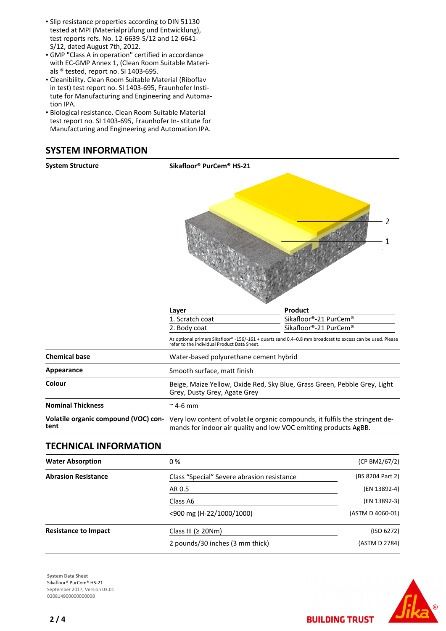- **-** Slip resistance properties according to DIN 51130 tested at MPI (Materialprüfung und Entwicklung), test reports refs. No. 12-6639-S/12 and 12-6641- S/12, dated August 7th, 2012.
- GMP "Class A in operation" certified in accordance with EC-GMP Annex 1, (Clean Room Suitable Materials ® tested, report no. SI 1403-695.
- Cleanibility. Clean Room Suitable Material (Riboflav in test) test report no. SI 1403-695, Fraunhofer Institute for Manufacturing and Engineering and Automation IPA.
- **Biological resistance. Clean Room Suitable Material** test report no. SI 1403-695, Fraunhofer In- stitute for Manufacturing and Engineering and Automation IPA.

## **SYSTEM INFORMATION**

| <b>System Structure</b>                      | Sikafloor <sup>®</sup> PurCem <sup>®</sup> HS-21                                                                                                         |                                                                              |  |  |
|----------------------------------------------|----------------------------------------------------------------------------------------------------------------------------------------------------------|------------------------------------------------------------------------------|--|--|
|                                              | 2                                                                                                                                                        |                                                                              |  |  |
|                                              | Layer                                                                                                                                                    | Product                                                                      |  |  |
|                                              | 1. Scratch coat                                                                                                                                          | Sikafloor®-21 PurCem®                                                        |  |  |
|                                              | Sikafloor®-21 PurCem®<br>2. Body coat                                                                                                                    |                                                                              |  |  |
|                                              | As optional primers Sikafloor® -156/-161 + quartz sand 0.4–0.8 mm broadcast to excess can be used. Please<br>refer to the individual Product Data Sheet. |                                                                              |  |  |
| <b>Chemical base</b>                         | Water-based polyurethane cement hybrid                                                                                                                   |                                                                              |  |  |
| Appearance                                   | Smooth surface, matt finish                                                                                                                              |                                                                              |  |  |
| Colour                                       | Beige, Maize Yellow, Oxide Red, Sky Blue, Grass Green, Pebble Grey, Light<br>Grey, Dusty Grey, Agate Grey                                                |                                                                              |  |  |
| <b>Nominal Thickness</b>                     | $\approx$ 4-6 mm                                                                                                                                         |                                                                              |  |  |
| Volatile organic compound (VOC) con-<br>tent | mands for indoor air quality and low VOC emitting products AgBB.                                                                                         | Very low content of volatile organic compounds, it fulfils the stringent de- |  |  |
| <b>TECHNICAL INFORMATION</b>                 |                                                                                                                                                          |                                                                              |  |  |
| <b>Water Absorption</b>                      | 0%                                                                                                                                                       | (CP BM2/67/2)                                                                |  |  |
| <b>Abrasion Resistance</b>                   | Class "Special" Severe abrasion resistance                                                                                                               | (BS 8204 Part 2)                                                             |  |  |
|                                              | AR 0.5                                                                                                                                                   | (EN 13892-4)                                                                 |  |  |
|                                              | Class A6                                                                                                                                                 | (EN 13892-3)                                                                 |  |  |
|                                              | <900 mg (H-22/1000/1000)                                                                                                                                 | (ASTM D 4060-01)                                                             |  |  |
| <b>Resistance to Impact</b>                  | Class III (≥ 20Nm)                                                                                                                                       | (ISO 6272)                                                                   |  |  |
|                                              |                                                                                                                                                          |                                                                              |  |  |





**BUILDING TRUST**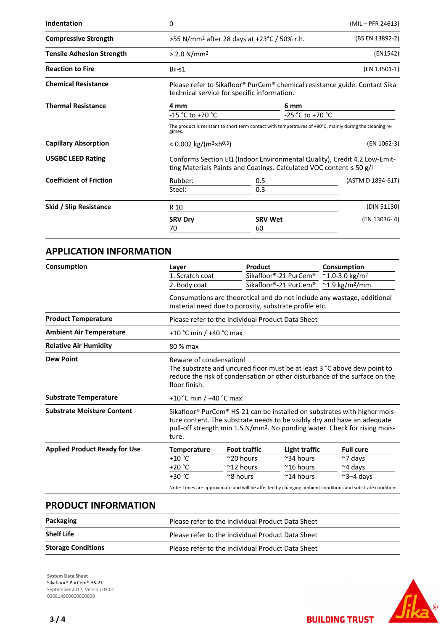| Indentation                      | 0                                                |                                                                                                                                                 |                   |  |  |
|----------------------------------|--------------------------------------------------|-------------------------------------------------------------------------------------------------------------------------------------------------|-------------------|--|--|
| <b>Compressive Strength</b>      |                                                  | >55 N/mm <sup>2</sup> after 28 days at +23°C / 50% r.h.                                                                                         |                   |  |  |
| <b>Tensile Adhesion Strength</b> | > 2.0 N/mm <sup>2</sup>                          |                                                                                                                                                 |                   |  |  |
| <b>Reaction to Fire</b>          | BfI-s1                                           |                                                                                                                                                 |                   |  |  |
| <b>Chemical Resistance</b>       |                                                  | Please refer to Sikafloor® PurCem® chemical resistance guide. Contact Sika<br>technical service for specific information.                       |                   |  |  |
| <b>Thermal Resistance</b>        | 4 mm                                             | 6 mm                                                                                                                                            |                   |  |  |
|                                  | $-15 °C$ to $+70 °C$                             | $-25 °C$ to $+70 °C$                                                                                                                            |                   |  |  |
|                                  | gimes.                                           | The product is resistant to short term contact with temperatures of +90°C, mainly during the cleaning re-                                       |                   |  |  |
| <b>Capillary Absorption</b>      | $< 0.002$ kg/(m <sup>2</sup> ×h <sup>0,5</sup> ) |                                                                                                                                                 | (EN 1062-3)       |  |  |
| <b>USGBC LEED Rating</b>         |                                                  | Conforms Section EQ (Indoor Environmental Quality), Credit 4.2 Low-Emit-<br>ting Materials Paints and Coatings. Calculated VOC content ≤ 50 g/l |                   |  |  |
| <b>Coefficient of Friction</b>   | Rubber:                                          | $0.5\,$                                                                                                                                         | (ASTM D 1894-61T) |  |  |
|                                  | Steel:                                           | 0.3                                                                                                                                             |                   |  |  |
| Skid / Slip Resistance           | R 10                                             |                                                                                                                                                 | (DIN 51130)       |  |  |
|                                  | <b>SRV Dry</b>                                   | <b>SRV Wet</b>                                                                                                                                  | (EN 13036-4)      |  |  |
|                                  | 70                                               | 60                                                                                                                                              |                   |  |  |

#### **APPLICATION INFORMATION**

| Consumption                          | Layer                                                                                                                                                                                                                                                                            | Product                                                                                                                                                                           |                       | Consumption                          |  |  |
|--------------------------------------|----------------------------------------------------------------------------------------------------------------------------------------------------------------------------------------------------------------------------------------------------------------------------------|-----------------------------------------------------------------------------------------------------------------------------------------------------------------------------------|-----------------------|--------------------------------------|--|--|
|                                      | 1. Scratch coat                                                                                                                                                                                                                                                                  |                                                                                                                                                                                   | Sikafloor®-21 PurCem® | $~^{\sim}$ 1.0-3.0 kg/m <sup>2</sup> |  |  |
|                                      | 2. Body coat                                                                                                                                                                                                                                                                     |                                                                                                                                                                                   | Sikafloor®-21 PurCem® | $~^{\sim}$ 1.9 kg/m <sup>2</sup> /mm |  |  |
|                                      |                                                                                                                                                                                                                                                                                  | Consumptions are theoretical and do not include any wastage, additional<br>material need due to porosity, substrate profile etc.                                                  |                       |                                      |  |  |
| <b>Product Temperature</b>           |                                                                                                                                                                                                                                                                                  | Please refer to the individual Product Data Sheet                                                                                                                                 |                       |                                      |  |  |
| <b>Ambient Air Temperature</b>       |                                                                                                                                                                                                                                                                                  | +10 °C min / +40 °C max                                                                                                                                                           |                       |                                      |  |  |
| <b>Relative Air Humidity</b>         | 80 % max                                                                                                                                                                                                                                                                         |                                                                                                                                                                                   |                       |                                      |  |  |
| <b>Dew Point</b>                     | floor finish.                                                                                                                                                                                                                                                                    | Beware of condensation!<br>The substrate and uncured floor must be at least 3 °C above dew point to<br>reduce the risk of condensation or other disturbance of the surface on the |                       |                                      |  |  |
| <b>Substrate Temperature</b>         |                                                                                                                                                                                                                                                                                  | +10 °C min / +40 °C max                                                                                                                                                           |                       |                                      |  |  |
| <b>Substrate Moisture Content</b>    | Sikafloor <sup>®</sup> PurCem <sup>®</sup> HS-21 can be installed on substrates with higher mois-<br>ture content. The substrate needs to be visibly dry and have an adequate<br>pull-off strength min 1.5 N/mm <sup>2</sup> . No ponding water. Check for rising mois-<br>ture. |                                                                                                                                                                                   |                       |                                      |  |  |
| <b>Applied Product Ready for Use</b> | <b>Temperature</b>                                                                                                                                                                                                                                                               | <b>Foot traffic</b>                                                                                                                                                               | <b>Light traffic</b>  | <b>Full cure</b>                     |  |  |
|                                      | $+10 °C$                                                                                                                                                                                                                                                                         | $^{\sim}$ 20 hours                                                                                                                                                                | $~\sim$ 34 hours      | $~\sim$ 7 days                       |  |  |
|                                      | $+20 °C$                                                                                                                                                                                                                                                                         | $~^{\sim}$ 12 hours                                                                                                                                                               | $~^{\sim}$ 16 hours   | $~\sim$ 4 days                       |  |  |
|                                      | +30 °C                                                                                                                                                                                                                                                                           | ~8 hours                                                                                                                                                                          | $~^{\sim}$ 14 hours   | $\approx$ 3-4 days                   |  |  |

## **PRODUCT INFORMATION**

| Packaging                 | Please refer to the individual Product Data Sheet |
|---------------------------|---------------------------------------------------|
| <b>Shelf Life</b>         | Please refer to the individual Product Data Sheet |
| <b>Storage Conditions</b> | Please refer to the individual Product Data Sheet |

**System Data Sheet** Sikafloor® PurCem® HS-21 September 2017, Version 03.01 0208149000000000008



**BUILDING TRUST**